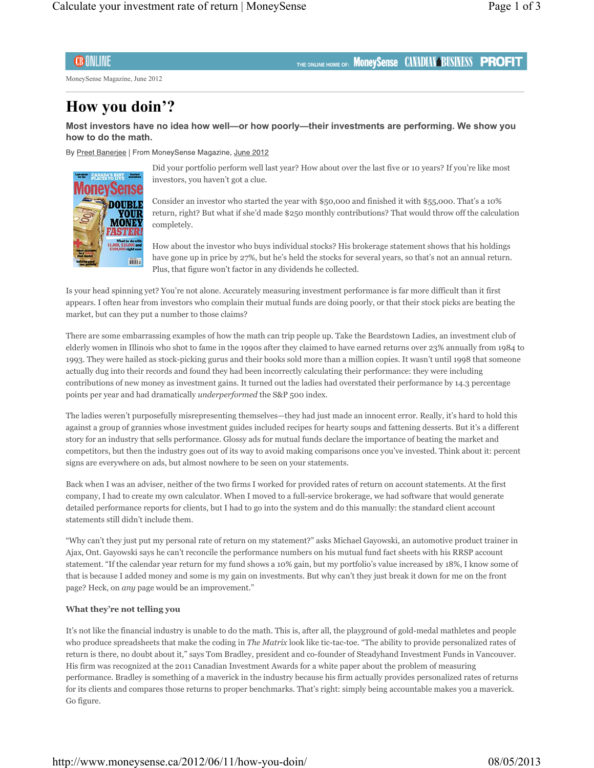# **CB ONLINE**

MoneySense Magazine, June 2012

# **How you doin'?**

**Most investors have no idea how well—or how poorly—their investments are performing. We show you how to do the math.**

By Preet Banerjee | From MoneySense Magazine, June 2012



Did your portfolio perform well last year? How about over the last five or 10 years? If you're like most investors, you haven't got a clue.

THE ONLINE HOME OF: MONEYSense CAMADIAN BUSINESS PROFIT

Consider an investor who started the year with \$50,000 and finished it with \$55,000. That's a 10% return, right? But what if she'd made \$250 monthly contributions? That would throw off the calculation completely.

How about the investor who buys individual stocks? His brokerage statement shows that his holdings have gone up in price by 27%, but he's held the stocks for several years, so that's not an annual return. Plus, that figure won't factor in any dividends he collected.

Is your head spinning yet? You're not alone. Accurately measuring investment performance is far more difficult than it first appears. I often hear from investors who complain their mutual funds are doing poorly, or that their stock picks are beating the market, but can they put a number to those claims?

There are some embarrassing examples of how the math can trip people up. Take the Beardstown Ladies, an investment club of elderly women in Illinois who shot to fame in the 1990s after they claimed to have earned returns over 23% annually from 1984 to 1993. They were hailed as stock-picking gurus and their books sold more than a million copies. It wasn't until 1998 that someone actually dug into their records and found they had been incorrectly calculating their performance: they were including contributions of new money as investment gains. It turned out the ladies had overstated their performance by 14.3 percentage points per year and had dramatically *underperformed* the S&P 500 index.

The ladies weren't purposefully misrepresenting themselves—they had just made an innocent error. Really, it's hard to hold this against a group of grannies whose investment guides included recipes for hearty soups and fattening desserts. But it's a different story for an industry that sells performance. Glossy ads for mutual funds declare the importance of beating the market and competitors, but then the industry goes out of its way to avoid making comparisons once you've invested. Think about it: percent signs are everywhere on ads, but almost nowhere to be seen on your statements.

Back when I was an adviser, neither of the two firms I worked for provided rates of return on account statements. At the first company, I had to create my own calculator. When I moved to a full-service brokerage, we had software that would generate detailed performance reports for clients, but I had to go into the system and do this manually: the standard client account statements still didn't include them.

"Why can't they just put my personal rate of return on my statement?" asks Michael Gayowski, an automotive product trainer in Ajax, Ont. Gayowski says he can't reconcile the performance numbers on his mutual fund fact sheets with his RRSP account statement. "If the calendar year return for my fund shows a 10% gain, but my portfolio's value increased by 18%, I know some of that is because I added money and some is my gain on investments. But why can't they just break it down for me on the front page? Heck, on *any* page would be an improvement."

#### **What they're not telling you**

It's not like the financial industry is unable to do the math. This is, after all, the playground of gold-medal mathletes and people who produce spreadsheets that make the coding in *The Matrix* look like tic-tac-toe. "The ability to provide personalized rates of return is there, no doubt about it," says Tom Bradley, president and co-founder of Steadyhand Investment Funds in Vancouver. His firm was recognized at the 2011 Canadian Investment Awards for a white paper about the problem of measuring performance. Bradley is something of a maverick in the industry because his firm actually provides personalized rates of returns for its clients and compares those returns to proper benchmarks. That's right: simply being accountable makes you a maverick. Go figure.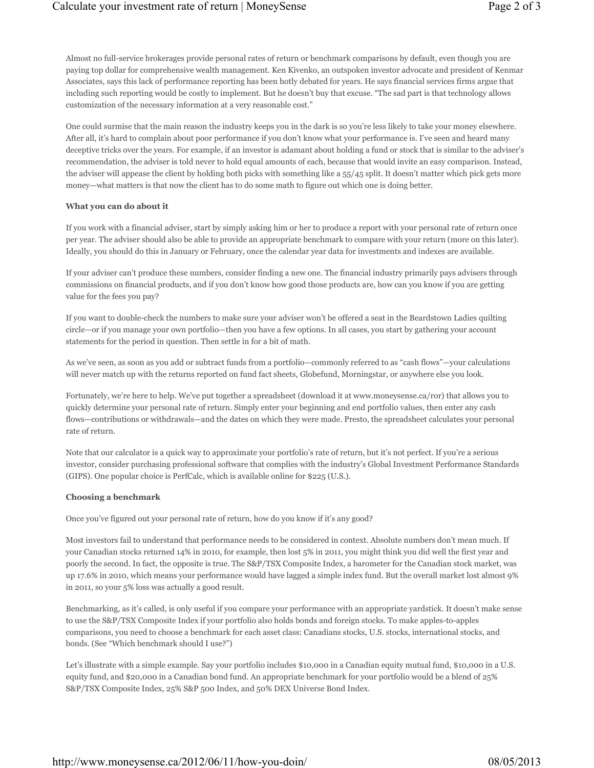Almost no full-service brokerages provide personal rates of return or benchmark comparisons by default, even though you are paying top dollar for comprehensive wealth management. Ken Kivenko, an outspoken investor advocate and president of Kenmar Associates, says this lack of performance reporting has been hotly debated for years. He says financial services firms argue that including such reporting would be costly to implement. But he doesn't buy that excuse. "The sad part is that technology allows customization of the necessary information at a very reasonable cost."

One could surmise that the main reason the industry keeps you in the dark is so you're less likely to take your money elsewhere. After all, it's hard to complain about poor performance if you don't know what your performance is. I've seen and heard many deceptive tricks over the years. For example, if an investor is adamant about holding a fund or stock that is similar to the adviser's recommendation, the adviser is told never to hold equal amounts of each, because that would invite an easy comparison. Instead, the adviser will appease the client by holding both picks with something like a 55/45 split. It doesn't matter which pick gets more money—what matters is that now the client has to do some math to figure out which one is doing better.

## **What you can do about it**

If you work with a financial adviser, start by simply asking him or her to produce a report with your personal rate of return once per year. The adviser should also be able to provide an appropriate benchmark to compare with your return (more on this later). Ideally, you should do this in January or February, once the calendar year data for investments and indexes are available.

If your adviser can't produce these numbers, consider finding a new one. The financial industry primarily pays advisers through commissions on financial products, and if you don't know how good those products are, how can you know if you are getting value for the fees you pay?

If you want to double-check the numbers to make sure your adviser won't be offered a seat in the Beardstown Ladies quilting circle—or if you manage your own portfolio—then you have a few options. In all cases, you start by gathering your account statements for the period in question. Then settle in for a bit of math.

As we've seen, as soon as you add or subtract funds from a portfolio—commonly referred to as "cash flows"—your calculations will never match up with the returns reported on fund fact sheets, Globefund, Morningstar, or anywhere else you look.

Fortunately, we're here to help. We've put together a spreadsheet (download it at www.moneysense.ca/ror) that allows you to quickly determine your personal rate of return. Simply enter your beginning and end portfolio values, then enter any cash flows—contributions or withdrawals—and the dates on which they were made. Presto, the spreadsheet calculates your personal rate of return.

Note that our calculator is a quick way to approximate your portfolio's rate of return, but it's not perfect. If you're a serious investor, consider purchasing professional software that complies with the industry's Global Investment Performance Standards (GIPS). One popular choice is PerfCalc, which is available online for \$225 (U.S.).

## **Choosing a benchmark**

Once you've figured out your personal rate of return, how do you know if it's any good?

Most investors fail to understand that performance needs to be considered in context. Absolute numbers don't mean much. If your Canadian stocks returned 14% in 2010, for example, then lost 5% in 2011, you might think you did well the first year and poorly the second. In fact, the opposite is true. The S&P/TSX Composite Index, a barometer for the Canadian stock market, was up 17.6% in 2010, which means your performance would have lagged a simple index fund. But the overall market lost almost 9% in 2011, so your 5% loss was actually a good result.

Benchmarking, as it's called, is only useful if you compare your performance with an appropriate yardstick. It doesn't make sense to use the S&P/TSX Composite Index if your portfolio also holds bonds and foreign stocks. To make apples-to-apples comparisons, you need to choose a benchmark for each asset class: Canadians stocks, U.S. stocks, international stocks, and bonds. (See "Which benchmark should I use?")

Let's illustrate with a simple example. Say your portfolio includes \$10,000 in a Canadian equity mutual fund, \$10,000 in a U.S. equity fund, and \$20,000 in a Canadian bond fund. An appropriate benchmark for your portfolio would be a blend of 25% S&P/TSX Composite Index, 25% S&P 500 Index, and 50% DEX Universe Bond Index.